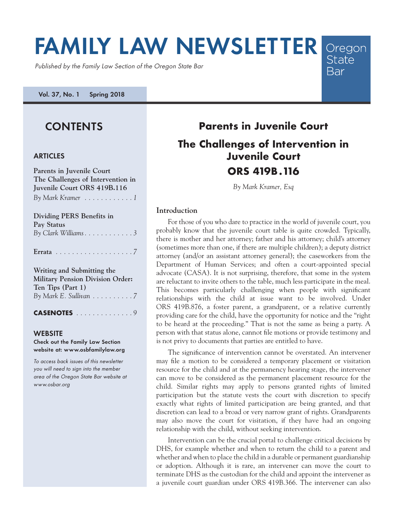# **FAMILY LAW NEWSLETTER** Oregon State

Published by the Family Law Section of the Oregon State Bar

**Vol. 37, No. 1 Spring 2018**

# **CONTENTS**

## **ARTICLES**

| Parents in Juvenile Court               |
|-----------------------------------------|
| The Challenges of Intervention in       |
| Juvenile Court ORS 419B.116             |
| By Mark Kramer 1                        |
| <b>Dividing PERS Benefits in</b>        |
| Pay Status                              |
|                                         |
|                                         |
| Writing and Submitting the              |
| <b>Military Pension Division Order:</b> |
| Ten Tips (Part 1)                       |
| By Mark E. Sullivan 7                   |
| <b>CASENOTES</b> 9                      |

#### **WEBSITE**

**Check out the Family Law Section website at: www.osbfamilylaw.org**

To access back issues of this newsletter you will need to sign into the member area of the Oregon State Bar website at www.osbar.org

# **Parents in Juvenile Court The Challenges of Intervention in Juvenile Court ORS 419B.116**

**Bar** 

*By Mark Kramer, Esq*

## **Introduction**

For those of you who dare to practice in the world of juvenile court, you probably know that the juvenile court table is quite crowded. Typically, there is mother and her attorney; father and his attorney; child's attorney (sometimes more than one, if there are multiple children); a deputy district attorney (and/or an assistant attorney general); the caseworkers from the Department of Human Services; and often a court-appointed special advocate (CASA). It is not surprising, therefore, that some in the system are reluctant to invite others to the table, much less participate in the meal. This becomes particularly challenging when people with significant relationships with the child at issue want to be involved. Under ORS 419B.876, a foster parent, a grandparent, or a relative currently providing care for the child, have the opportunity for notice and the "right to be heard at the proceeding." That is not the same as being a party. A person with that status alone, cannot file motions or provide testimony and is not privy to documents that parties are entitled to have.

The significance of intervention cannot be overstated. An intervener may file a motion to be considered a temporary placement or visitation resource for the child and at the permanency hearing stage, the intervener can move to be considered as the permanent placement resource for the child. Similar rights may apply to persons granted rights of limited participation but the statute vests the court with discretion to specify exactly what rights of limited participation are being granted, and that discretion can lead to a broad or very narrow grant of rights. Grandparents may also move the court for visitation, if they have had an ongoing relationship with the child, without seeking intervention.

Intervention can be the crucial portal to challenge critical decisions by DHS, for example whether and when to return the child to a parent and whether and when to place the child in a durable or permanent guardianship or adoption. Although it is rare, an intervener can move the court to terminate DHS as the custodian for the child and appoint the intervener as a juvenile court guardian under ORS 419B.366. The intervener can also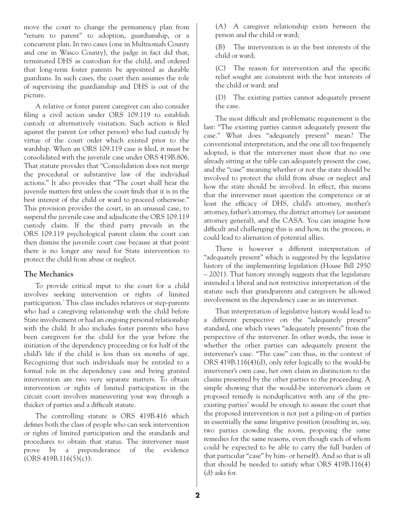move the court to change the permanency plan from "return to parent" to adoption, guardianship, or a concurrent plan. In two cases (one in Multnomah County and one in Wasco County), the judge in fact did that, terminated DHS as custodian for the child, and ordered that long-term foster parents be appointed as durable guardians. In such cases, the court then assumes the role of supervising the guardianship and DHS is out of the picture.

A relative or foster parent caregiver can also consider filing a civil action under ORS 109.119 to establish custody or alternatively visitation. Such action is filed against the parent (or other person) who had custody by virtue of the court order which existed prior to the wardship. When an ORS 109.119 case is filed, it must be consolidated with the juvenile case under ORS 419B.806. That statute provides that "Consolidation does not merge the procedural or substantive law of the individual actions." It also provides that "The court shall hear the juvenile matters first unless the court finds that it is in the best interest of the child or ward to proceed otherwise." This provision provides the court, in an unusual case, to suspend the juvenile case and adjudicate the ORS 109.119 custody claim. If the third party prevails in the ORS 109.119 psychological parent claim the court can then dismiss the juvenile court case because at that point there is no longer any need for State intervention to protect the child from abuse or neglect.

#### **The Mechanics**

To provide critical input to the court for a child involves seeking intervention or rights of limited participation.<sup>1</sup> This class includes relatives or step-parents who had a caregiving relationship with the child before State involvement or had an ongoing personal relationship with the child. It also includes foster parents who have been caregivers for the child for the year before the initiation of the dependency proceeding or for half of the child's life if the child is less than six months of age. Recognizing that such individuals may be entitled to a formal role in the dependency case and being granted intervention are two very separate matters. To obtain intervention or rights of limited participation in the circuit court involves maneuvering your way through a thicket of parties and a difficult statute.

The controlling statute is ORS 419B.416 which defines both the class of people who can seek intervention or rights of limited participation and the standards and procedures to obtain that status. The intervener must prove by a preponderance of the evidence  $(ORS 419B.116(5)(c))$ :

(A) A caregiver relationship exists between the person and the child or ward;

(B) The intervention is in the best interests of the child or ward;

(C) The reason for intervention and the specific relief sought are consistent with the best interests of the child or ward; and

(D) The existing parties cannot adequately present the case.

The most difficult and problematic requirement is the last: "The existing parties cannot adequately present the case." What does "adequately present" mean? The conventional interpretation, and the one all too frequently adopted, is that the intervener must show that no one already sitting at the table can adequately present the case, and the "case" meaning whether or not the state should be involved to protect the child from abuse or neglect and how the state should be involved. In effect, this means that the intervener must question the competence or at least the efficacy of DHS, child's attorney, mother's attorney, father's attorney, the district attorney (or assistant attorney general), and the CASA. You can imagine how difficult and challenging this is and how, in the process, it could lead to alienation of potential allies.

There is however a different interpretation of "adequately present" which is suggested by the legislative history of the implementing legislation (House Bill 2950 – 2001). That history strongly suggests that the legislature intended a liberal and not restrictive interpretation of the statute such that grandparents and caregivers be allowed involvement in the dependency case as an intervener.

That interpretation of legislative history would lead to a different perspective on the "adequately present" standard, one which views "adequately presents" from the perspective of the intervener. In other words, the issue is whether the other parties can adequately present the intervener's case. "The case" can thus, in the context of ORS 419B.116(4)(d), only refer logically to the would-be intervener's own case, her own claim in distinction to the claims presented by the other parties to the proceeding. A simple showing that the would-be intervenor's claim or proposed remedy is nonduplicative with any of the preexisting parties' would be enough to assure the court that the proposed intervention is not just a piling-on of parties in essentially the same litigative position (resulting in, say, two parties crowding the room, proposing the same remedies for the same reasons, even though each of whom could be expected to be able to carry the full burden of that particular "case" by him- or herself). And so that is all that should be needed to satisfy what ORS 419B.116(4) (d) asks for.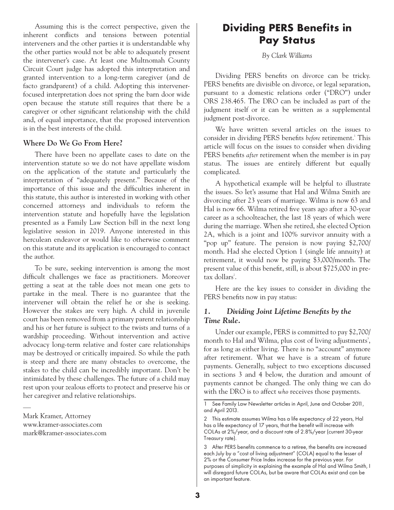Assuming this is the correct perspective, given the inherent conflicts and tensions between potential interveners and the other parties it is understandable why the other parties would not be able to adequately present the intervener's case. At least one Multnomah County Circuit Court judge has adopted this interpretation and granted intervention to a long-term caregiver (and de facto grandparent) of a child. Adopting this intervenerfocused interpretation does not spring the barn door wide open because the statute still requires that there be a caregiver or other significant relationship with the child and, of equal importance, that the proposed intervention is in the best interests of the child.

## **Where Do We Go From Here?**

There have been no appellate cases to date on the intervention statute so we do not have appellate wisdom on the application of the statute and particularly the interpretation of "adequately present." Because of the importance of this issue and the difficulties inherent in this statute, this author is interested in working with other concerned attorneys and individuals to reform the intervention statute and hopefully have the legislation presented as a Family Law Section bill in the next long legislative session in 2019. Anyone interested in this herculean endeavor or would like to otherwise comment on this statute and its application is encouraged to contact the author.

To be sure, seeking intervention is among the most difficult challenges we face as practitioners. Moreover getting a seat at the table does not mean one gets to partake in the meal. There is no guarantee that the intervener will obtain the relief he or she is seeking. However the stakes are very high. A child in juvenile court has been removed from a primary parent relationship and his or her future is subject to the twists and turns of a wardship proceeding. Without intervention and active advocacy long-term relative and foster care relationships may be destroyed or critically impaired. So while the path is steep and there are many obstacles to overcome, the stakes to the child can be incredibly important. Don't be intimidated by these challenges. The future of a child may rest upon your zealous efforts to protect and preserve his or her caregiver and relative relationships.

—

# **Dividing PERS Benefits in Pay Status**

*By Clark Williams*

Dividing PERS benefits on divorce can be tricky. PERS benefits are divisible on divorce, or legal separation, pursuant to a domestic relations order ("DRO") under ORS 238.465. The DRO can be included as part of the judgment itself or it can be written as a supplemental judgment post-divorce.

We have written several articles on the issues to consider in dividing PERS benefits *before* retirement.<sup>1</sup> This article will focus on the issues to consider when dividing PERS benefits *after* retirement when the member is in pay status. The issues are entirely different but equally complicated.

A hypothetical example will be helpful to illustrate the issues. So let's assume that Hal and Wilma Smith are divorcing after 23 years of marriage. Wilma is now 63 and Hal is now 66. Wilma retired five years ago after a 30-year career as a schoolteacher, the last 18 years of which were during the marriage. When she retired, she elected Option 2A, which is a joint and 100% survivor annuity with a "pop up" feature. The pension is now paying \$2,700/ month. Had she elected Option 1 (single life annuity) at retirement, it would now be paying \$3,000/month. The present value of this benefit, still, is about \$725,000 in pretax dollars<sup>2</sup>.

Here are the key issues to consider in dividing the PERS benefits now in pay status:

# *1. Dividing Joint Lifetime Benefits by the Time Rule.*

Under our example, PERS is committed to pay \$2,700/ month to Hal and Wilma, plus cost of living adjustments<sup>3</sup>, for as long as either living. There is no "account" anymore after retirement. What we have is a stream of future payments. Generally, subject to two exceptions discussed in sections 3 and 4 below, the duration and amount of payments cannot be changed. The only thing we can do with the DRO is to affect *who* receives those payments.

Mark Kramer, Attorney www.kramer-associates.com mark@kramer-associates.com

<sup>1</sup> See Family Law Newsletter articles in April, June and October 2011, and April 2013.

<sup>2</sup> This estimate assumes Wilma has a life expectancy of 22 years, Hal has a life expectancy of 17 years, that the benefit will increase with COLAs at 2%/year, and a discount rate of 2.8%/year (current 30-year Treasury rate).

<sup>3</sup> After PERS benefits commence to a retiree, the benefits are increased each July by a "cost of living adjustment" (COLA) equal to the lesser of 2% or the Consumer Price Index increase for the previous year. For purposes of simplicity in explaining the example of Hal and Wilma Smith, I will disregard future COLAs, but be aware that COLAs exist and can be an important feature.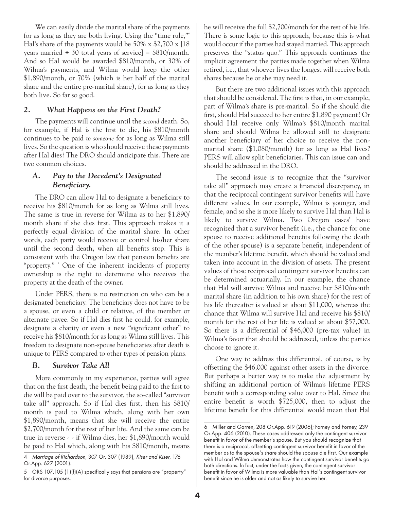We can easily divide the marital share of the payments for as long as they are both living. Using the "time rule," Hal's share of the payments would be 50% x \$2,700 x [18 years married  $\div$  30 total years of service] = \$810/month. And so Hal would be awarded \$810/month, or 30% of Wilma's payments, and Wilma would keep the other \$1,890/month, or 70% (which is her half of the marital share and the entire pre-marital share), for as long as they both live. So far so good.

#### *2. What Happens on the First Death?*

The payments will continue until the *second* death. So, for example, if Hal is the first to die, his \$810/month continues to be paid *to someone* for as long as Wilma still lives. So the question is who should receive these payments after Hal dies? The DRO should anticipate this. There are two common choices.

# *A. Pay to the Decedent's Designated Beneficiary.*

The DRO can allow Hal to designate a beneficiary to receive his \$810/month for as long as Wilma still lives. The same is true in reverse for Wilma as to her \$1,890/ month share if she dies first. This approach makes it a perfectly equal division of the marital share. In other words, each party would receive or control his/her share until the second death, when all benefits stop. This is consistent with the Oregon law that pension benefits are "property." <sup>5</sup> One of the inherent incidents of property ownership is the right to determine who receives the property at the death of the owner.

Under PERS, there is no restriction on who can be a designated beneficiary. The beneficiary does not have to be a spouse, or even a child or relative, of the member or alternate payee. So if Hal dies first he could, for example, designate a charity or even a new "significant other" to receive his \$810/month for as long as Wilma still lives. This freedom to designate non-spouse beneficiaries after death is unique to PERS compared to other types of pension plans.

#### *B. Survivor Take All*

More commonly in my experience, parties will agree that on the first death, the benefit being paid to the first to die will be paid over to the survivor, the so-called "survivor take all" approach. So if Hal dies first, then his \$810/ month is paid to Wilma which, along with her own \$1,890/month, means that she will receive the entire \$2,700/month for the rest of her life. And the same can be true in reverse - - if Wilma dies, her \$1,890/month would be paid to Hal which, along with his \$810/month, means he will receive the full \$2,700/month for the rest of his life. There is some logic to this approach, because this is what would occur if the parties had stayed married. This approach preserves the "status quo." This approach continues the implicit agreement the parties made together when Wilma retired, i.e., that whoever lives the longest will receive both shares because he or she may need it.

But there are two additional issues with this approach that should be considered. The first is that, in our example, part of Wilma's share is pre-marital. So if she should die first, should Hal succeed to her entire \$1,890 payment? Or should Hal receive only Wilma's \$810/month marital share and should Wilma be allowed still to designate another beneficiary of her choice to receive the nonmarital share (\$1,080/month) for as long as Hal lives? PERS will allow split beneficiaries. This can issue can and should be addressed in the DRO.

The second issue is to recognize that the "survivor take all" approach may create a financial discrepancy, in that the reciprocal contingent survivor benefits will have different values. In our example, Wilma is younger, and female, and so she is more likely to survive Hal than Hal is likely to survive Wilma. Two Oregon cases have recognized that a survivor benefit (i.e., the chance for one spouse to receive additional benefits following the death of the other spouse) is a separate benefit, independent of the member's lifetime benefit, which should be valued and taken into account in the division of assets. The present values of those reciprocal contingent survivor benefits can be determined actuarially. In our example, the chance that Hal will survive Wilma and receive her \$810/month marital share (in addition to his own share) for the rest of his life thereafter is valued at about \$11,000, whereas the chance that Wilma will survive Hal and receive his \$810/ month for the rest of her life is valued at about \$57,000. So there is a differential of \$46,000 (pre-tax value) in Wilma's favor that should be addressed, unless the parties choose to ignore it.

One way to address this differential, of course, is by offsetting the \$46,000 against other assets in the divorce. But perhaps a better way is to make the adjustment by shifting an additional portion of Wilma's lifetime PERS benefit with a corresponding value over to Hal. Since the entire benefit is worth \$725,000, then to adjust the lifetime benefit for this differential would mean that Hal

<sup>4</sup> Marriage of Richardson, 307 Or. 307 (1989), Kiser and Kiser*,* 176 Or.App. 627 (2001).

<sup>5</sup> ORS 107.105 (1)(f)(A) specifically says that pensions are "property" for divorce purposes.

<sup>6</sup> Miller and Garren, 208 Or.App. 619 (2006); Forney and Forney, 239 Or.App. 406 (2010). These cases addressed only the contingent survivor benefit in favor of the member's spouse. But you should recognize that there is a reciprocal, offsetting contingent survivor benefit in favor of the member as to the spouse's share should the spouse die first. Our example with Hal and Wilma demonstrates how the contingent survivor benefits go both directions. In fact, under the facts given, the contingent survivor benefit in favor of Wilma is more valuable than Hal's contingent survivor benefit since he is older and not as likely to survive her.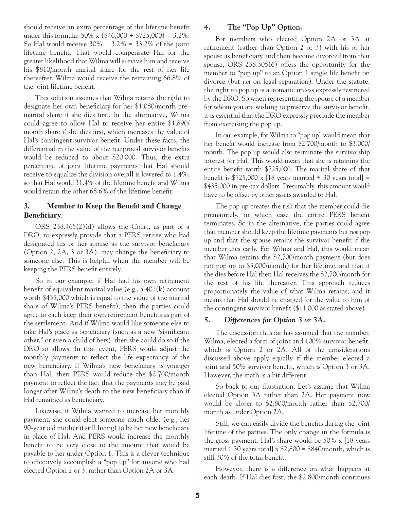should receive an extra percentage of the lifetime benefit under this formula:  $50\% \times (\$46,000 \div \$725,000) = 3.2\%$ . So Hal would receive  $30\% + 3.2\% = 33.2\%$  of the joint lifetime benefit. That would compensate Hal for the greater likelihood that Wilma will survive him and receive his \$810/month marital share for the rest of her life thereafter. Wilma would receive the remaining 66.8% of the joint lifetime benefit.

This solution assumes that Wilma retains the right to designate her own beneficiary for her \$1,080/month premarital share if she dies first. In the alternative, Wilma could agree to allow Hal to receive her entire \$1,890/ month share if she dies first, which increases the value of Hal's contingent survivor benefit. Under these facts, the differential in the value of the reciprocal survivor benefits would be reduced to about \$20,000. Thus, the extra percentage of joint lifetime payments that Hal should receive to equalize the division overall is lowered to 1.4%, so that Hal would 31.4% of the lifetime benefit and Wilma would retain the other 68.6% of the lifetime benefit.

# **3. Member to Keep the Benefit and Change Beneficiary***.*

ORS 238.465(2)(d) allows the Court, as part of a DRO, to expressly provide that a PERS retiree who had designated his or her spouse as the survivor beneficiary (Option 2, 2A, 3 or 3A), may change the beneficiary to someone else. This is helpful when the member will be keeping the PERS benefit entirely.

So in our example, if Hal had his own retirement benefit of equivalent marital value (e.g., a 401(k) account worth \$435,000 which is equal to the value of the marital share of Wilma's PERS benefit), then the parties could agree to each keep their own retirement benefits as part of the settlement. And if Wilma would like someone else to take Hal's place as beneficiary (such as a new "significant other," or even a child of hers), then she could do so if the DRO so allows. In that event, PERS would adjust the monthly payments to reflect the life expectancy of the new beneficiary. If Wilma's new beneficiary is younger than Hal, then PERS would reduce the \$2,700/month payment to reflect the fact that the payments may be paid longer after Wilma's death to the new beneficiary than if Hal remained as beneficiary.

Likewise, if Wilma wanted to increase her monthly payment, she could elect someone much older (e.g., her 90-year old mother if still living) to be her new beneficiary in place of Hal. And PERS would increase the monthly benefit to be very close to the amount that would be payable to her under Option 1. This is a clever technique to effectively accomplish a "pop up" for anyone who had elected Option 2 or 3, rather than Option 2A or 3A.

# **4. The "Pop Up" Option.**

For members who elected Option 2A or 3A at retirement (rather than Option 2 or 3) with his or her spouse as beneficiary and then become divorced from that spouse, ORS 238.305(6) offers the opportunity for the member to "pop up" to an Option 1 single life benefit on divorce (but *not* on legal separation). Under the statute, the right to pop up is automatic unless expressly restricted by the DRO. So when representing the spouse of a member for whom you are wishing to preserve the survivor benefit, it is essential that the DRO expressly preclude the member from exercising the pop up.

In our example, for Wilma to "pop up" would mean that her benefit would increase from \$2,700/month to \$3,000/ month. The pop up would also terminate the survivorship interest for Hal. This would mean that she is retaining the entire benefit worth \$725,000. The marital share of that benefit is  $$725,000 \times 18$  years married  $\div 30$  years total] = \$435,000 in pre-tax dollars. Presumably, this amount would have to be offset by other assets awarded to Hal.

The pop up creates the risk that the member could die prematurely, in which case the entire PERS benefit terminates. So in the alternative, the parties could agree that member should keep the lifetime payments but *not* pop up and that the spouse retains the survivor benefit if the member dies early. For Wilma and Hal, this would mean that Wilma retains the \$2,700/month payment (but does not pop up to \$3,000/month) for her lifetime, and that if she dies before Hal then Hal receives the \$2,700/month for the rest of his life thereafter. This approach reduces proportionately the value of what Wilma retains, and it means that Hal should be charged for the value to him of the contingent survivor benefit (\$11,000 as stated above).

#### *5. Differences for Option 3 or 3A.*

The discussion thus far has assumed that the member, Wilma, elected a form of joint and 100% survivor benefit, which is Option 2 or 2A. All of the considerations discussed above apply equally if the member elected a joint and 50% survivor benefit, which is Option 3 or 3A. However, the math is a bit different.

So back to our illustration. Let's assume that Wilma elected Option 3A rather than 2A. Her payment now would be closer to \$2,800/month rather than \$2,700/ month as under Option 2A.

Still, we can easily divide the benefits during the joint lifetime of the parties. The only change in the formula is the gross payment. Hal's share would be 50% x [18 years married  $\div$  30 years total] x  $$2,800 = $840/$ month, which is still 30% of the total benefit.

However, there is a difference on what happens at each death. If Hal dies first, the \$2,800/month continues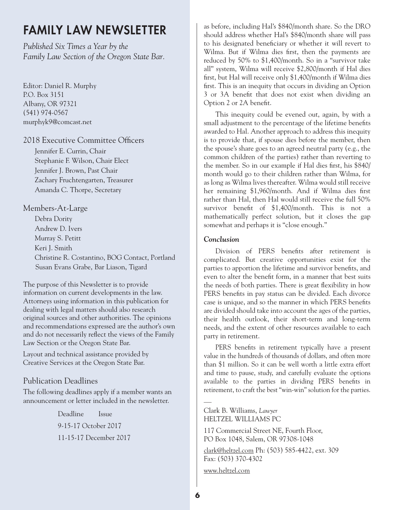# **FAMILY LAW NEWSLETTER**

*Published Six Times a Year by the Family Law Section of the Oregon State Bar.*

Editor: Daniel R. Murphy P.O. Box 3151 Albany, OR 97321 (541) 974-0567 murphyk9@comcast.net

# 2018 Executive Committee Officers

Jennifer E. Currin, Chair Stephanie F. Wilson, Chair Elect Jennifer J. Brown, Past Chair Zachary Fruchtengarten, Treasurer Amanda C. Thorpe, Secretary

# Members-At-Large

Debra Dority Andrew D. Ivers Murray S. Petitt Keri J. Smith Christine R. Costantino, BOG Contact, Portland Susan Evans Grabe, Bar Liason, Tigard

The purpose of this Newsletter is to provide information on current developments in the law. Attorneys using information in this publication for dealing with legal matters should also research original sources and other authorities. The opinions and recommendations expressed are the author's own and do not necessarily reflect the views of the Family Law Section or the Oregon State Bar.

Layout and technical assistance provided by Creative Services at the Oregon State Bar.

# Publication Deadlines

The following deadlines apply if a member wants an announcement or letter included in the newsletter.

> Deadline Issue 9-15-17 October 2017 11-15-17 December 2017

as before, including Hal's \$840/month share. So the DRO should address whether Hal's \$840/month share will pass to his designated beneficiary or whether it will revert to Wilma. But if Wilma dies first, then the payments are reduced by 50% to \$1,400/month. So in a "survivor take all" system, Wilma will receive \$2,800/month if Hal dies first, but Hal will receive only \$1,400/month if Wilma dies first. This is an inequity that occurs in dividing an Option 3 or 3A benefit that does not exist when dividing an Option 2 or 2A benefit.

This inequity could be evened out, again, by with a small adjustment to the percentage of the lifetime benefits awarded to Hal. Another approach to address this inequity is to provide that, if spouse dies before the member, then the spouse's share goes to an agreed neutral party (e.g., the common children of the parties) rather than reverting to the member. So in our example if Hal dies first, his \$840/ month would go to their children rather than Wilma, for as long as Wilma lives thereafter. Wilma would still receive her remaining \$1,960/month. And if Wilma dies first rather than Hal, then Hal would still receive the full 50% survivor benefit of \$1,400/month. This is not a mathematically perfect solution, but it closes the gap somewhat and perhaps it is "close enough."

# *Conclusion*

Division of PERS benefits after retirement is complicated. But creative opportunities exist for the parties to apportion the lifetime and survivor benefits, and even to alter the benefit form, in a manner that best suits the needs of both parties. There is great flexibility in how PERS benefits in pay status can be divided. Each divorce case is unique, and so the manner in which PERS benefits are divided should take into account the ages of the parties, their health outlook, their short-term and long-term needs, and the extent of other resources available to each party in retirement.

PERS benefits in retirement typically have a present value in the hundreds of thousands of dollars, and often more than \$1 million. So it can be well worth a little extra effort and time to pause, study, and carefully evaluate the options available to the parties in dividing PERS benefits in retirement, to craft the best "win-win" solution for the parties.

— Clark B. Williams, *Lawyer* HELTZEL WILLIAMS PC

117 Commercial Street NE, Fourth Floor, PO Box 1048, Salem, OR 97308-1048

[clark@heltzel.com](mailto:clark@heltzel.com) Ph: (503) 585-4422, ext. 309 Fax: (503) 370-4302

[www.heltzel.com](https://remote.heltzel.com/owa/UrlBlockedError.aspx)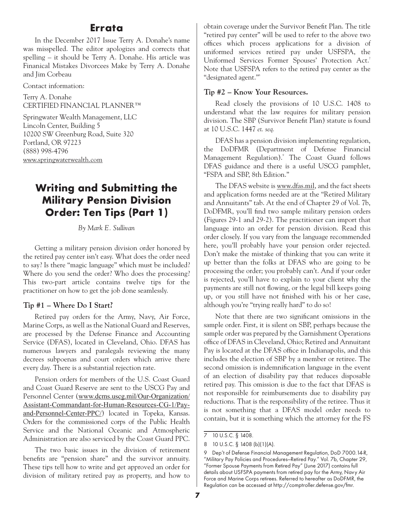# **Errata**

In the December 2017 Issue Terry A. Donahe's name was misspelled. The editor apologizes and corrects that spelling – it should be Terry A. Donahe. His article was Finanical Mistakes Divorcees Make by Terry A. Donahe and Jim Corbeau

Contact information:

Terry A. Donahe CERTIFIED FINANCIAL PLANNER™

Springwater Wealth Management, LLC Lincoln Center, Building 5 10200 SW Greenburg Road, Suite 320 Portland, OR 97223 (888) 998-4796 [www.springwaterwealth.com](http://www.springwaterwealth.com/)

# **Writing and Submitting the Military Pension Division Order: Ten Tips (Part 1)**

*By Mark E. Sullivan*

Getting a military pension division order honored by the retired pay center isn't easy. What does the order need to say? Is there "magic language" which must be included? Where do you send the order? Who does the processing? This two-part article contains twelve tips for the practitioner on how to get the job done seamlessly.

## **Tip #1 – Where Do I Start?**

Retired pay orders for the Army, Navy, Air Force, Marine Corps, as well as the National Guard and Reserves, are processed by the Defense Finance and Accounting Service (DFAS), located in Cleveland, Ohio. DFAS has numerous lawyers and paralegals reviewing the many decrees subpoenas and court orders which arrive there every day. There is a substantial rejection rate.

Pension orders for members of the U.S. Coast Guard and Coast Guard Reserve are sent to the USCG Pay and Personnel Center ([www.dcms.uscg.mil/Our-Organization/](http://www.dcms.uscg.mil/Our-Organization/Assistant-Commandant-for-Human-Resources-CG-1/Pay-and-Personnel-Center-PPC/) [Assistant-Commandant-for-Human-Resources-CG-1/Pay](http://www.dcms.uscg.mil/Our-Organization/Assistant-Commandant-for-Human-Resources-CG-1/Pay-and-Personnel-Center-PPC/)[and-Personnel-Center-PPC/](http://www.dcms.uscg.mil/Our-Organization/Assistant-Commandant-for-Human-Resources-CG-1/Pay-and-Personnel-Center-PPC/)) located in Topeka, Kansas. Orders for the commissioned corps of the Public Health Service and the National Oceanic and Atmospheric Administration are also serviced by the Coast Guard PPC.

The two basic issues in the division of retirement benefits are "pension share" and the survivor annuity. These tips tell how to write and get approved an order for division of military retired pay as property, and how to obtain coverage under the Survivor Benefit Plan. The title "retired pay center" will be used to refer to the above two offices which process applications for a division of uniformed services retired pay under USFSPA, the Uniformed Services Former Spouses' Protection Act.<sup>7</sup> Note that USFSPA refers to the retired pay center as the "designated agent."8

#### **Tip #2 – Know Your Resources.**

Read closely the provisions of 10 U.S.C. 1408 to understand what the law requires for military pension division. The SBP (Survivor Benefit Plan) statute is found at 10 U.S.C. 1447 *et. seq.*

DFAS has a pension division implementing regulation, the DoDFMR (Department of Defense Financial Management Regulation).<sup>9</sup> The Coast Guard follows DFAS guidance and there is a useful USCG pamphlet, "FSPA and SBP, 8th Edition."

The DFAS website is www.dfas.mil, and the fact sheets and application forms needed are at the "Retired Military and Annuitants" tab. At the end of Chapter 29 of Vol. 7b, DoDFMR, you'll find two sample military pension orders (Figures 29-1 and 29-2). The practitioner can import that language into an order for pension division. Read this order closely. If you vary from the language recommended here, you'll probably have your pension order rejected. Don't make the mistake of thinking that you can write it up better than the folks at DFAS who are going to be processing the order; you probably can't. And if your order is rejected, you'll have to explain to your client why the payments are still not flowing, or the legal bill keeps going up, or you still have not finished with his or her case, although you're "trying really hard" to do so!

Note that there are two significant omissions in the sample order. First, it is silent on SBP, perhaps because the sample order was prepared by the Garnishment Operations office of DFAS in Cleveland, Ohio; Retired and Annuitant Pay is located at the DFAS office in Indianapolis, and this includes the election of SBP by a member or retiree. The second omission is indemnification language in the event of an election of disability pay that reduces disposable retired pay. This omission is due to the fact that DFAS is not responsible for reimbursements due to disability pay reductions. That is the responsibility of the retiree. Thus it is not something that a DFAS model order needs to contain, but it is something which the attorney for the FS

<sup>7</sup> 10 U.S.C. § 1408.

<sup>8</sup> 10 U.S.C. § 1408 (b)(1)(A).

<sup>9</sup> Dep't of Defense Financial Management Regulation, DoD 7000.14-R, "Military Pay Policies and Procedures—Retired Pay." Vol. 7b, Chapter 29, "Former Spouse Payments from Retired Pay" (June 2017) contains full details about USFSPA payments from retired pay for the Army, Navy Air Force and Marine Corps retirees. Referred to hereafter as DoDFMR, the Regulation can be accessed at http://comptroller.defense.gov/fmr.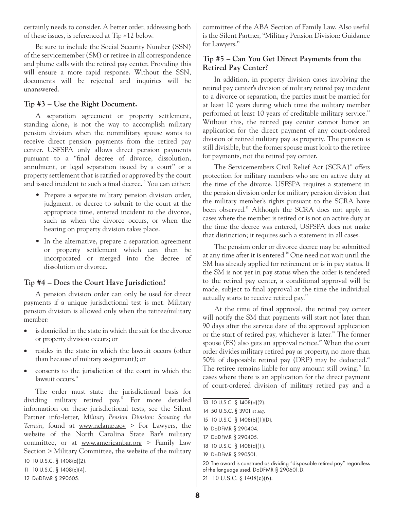certainly needs to consider. A better order, addressing both of these issues, is referenced at Tip #12 below.

Be sure to include the Social Security Number (SSN) of the servicemember (SM) or retiree in all correspondence and phone calls with the retired pay center. Providing this will ensure a more rapid response. Without the SSN, documents will be rejected and inquiries will be unanswered.

# **Tip #3 – Use the Right Document.**

A separation agreement or property settlement, standing alone, is not the way to accomplish military pension division when the nonmilitary spouse wants to receive direct pension payments from the retired pay center. USFSPA only allows direct pension payments pursuant to a "final decree of divorce, dissolution, annulment, or legal separation issued by a court" or a property settlement that is ratified or approved by the court and issued incident to such a final decree.<sup>10</sup> You can either:

- Prepare a separate military pension division order, judgment, or decree to submit to the court at the appropriate time, entered incident to the divorce, such as when the divorce occurs, or when the hearing on property division takes place.
- In the alternative, prepare a separation agreement or property settlement which can then be incorporated or merged into the decree of dissolution or divorce.

#### **Tip #4 – Does the Court Have Jurisdiction?**

A pension division order can only be used for direct payments if a unique jurisdictional test is met. Military pension division is allowed only when the retiree/military member:

- is domiciled in the state in which the suit for the divorce or property division occurs; or
- resides in the state in which the lawsuit occurs (other than because of military assignment); or
- consents to the jurisdiction of the court in which the lawsuit occurs. $11$

The order must state the jurisdictional basis for dividing military retired pay.<sup>12</sup> For more detailed information on these jurisdictional tests, see the Silent Partner info-letter, *Military Pension Division: Scouting the Terrain*, found at [www.nclamp.gov](http://www.nclamp.gov) > For Lawyers, the website of the North Carolina State Bar's military committee, or at [www.americanbar.org](http://www.americanbar.org) > Family Law Section > Military Committee, the website of the military

committee of the ABA Section of Family Law. Also useful is the Silent Partner, "Military Pension Division: Guidance for Lawyers."

## **Tip #5 – Can You Get Direct Payments from the Retired Pay Center?**

In addition, in property division cases involving the retired pay center's division of military retired pay incident to a divorce or separation, the parties must be married for at least 10 years during which time the military member performed at least 10 years of creditable military service.<sup>13</sup> Without this, the retired pay center cannot honor an application for the direct payment of any court-ordered division of retired military pay as property. The pension is still divisible, but the former spouse must look to the retiree for payments, not the retired pay center.

The Servicemembers Civil Relief Act (SCRA)<sup>14</sup> offers protection for military members who are on active duty at the time of the divorce. USFSPA requires a statement in the pension division order for military pension division that the military member's rights pursuant to the SCRA have been observed.<sup>15</sup> Although the SCRA does not apply in cases where the member is retired or is not on active duty at the time the decree was entered, USFSPA does not make that distinction; it requires such a statement in all cases.

The pension order or divorce decree may be submitted at any time after it is entered.<sup>16</sup> One need not wait until the SM has already applied for retirement or is in pay status. If the SM is not yet in pay status when the order is tendered to the retired pay center, a conditional approval will be made, subject to final approval at the time the individual actually starts to receive retired pay.<sup>17</sup>

At the time of final approval, the retired pay center will notify the SM that payments will start not later than 90 days after the service date of the approved application or the start of retired pay, whichever is later.<sup>18</sup> The former spouse  $(FS)$  also gets an approval notice.<sup>19</sup> When the court order divides military retired pay as property, no more than 50% of disposable retired pay (DRP) may be deducted.<sup>20</sup> The retiree remains liable for any amount still owing.<sup>21</sup> In cases where there is an application for the direct payment of court-ordered division of military retired pay and a

- 13 10 U.S.C. § 1408(d)(2).
- 14 50 U.S.C. § 3901 *et seq*.
- 15 10 U.S.C. § 1408(b)(1)(D).
- 16 DoDFMR § 290404.

18 10 U.S.C. § 1408(d)(1).

20 The award is construed as dividing "disposable retired pay" regardless of the language used. DoDFMR § 290601.D.

<sup>10</sup> 10 U.S.C. § 1408(a)(2).

<sup>11</sup> 10 U.S.C. § 1408(c)(4).

<sup>12</sup> DoDFMR § 290605.

<sup>17</sup> DoDFMR § 290405.

<sup>19</sup> DoDFMR § 290501.

<sup>21</sup> 10 U.S.C. § 1408(e)(6).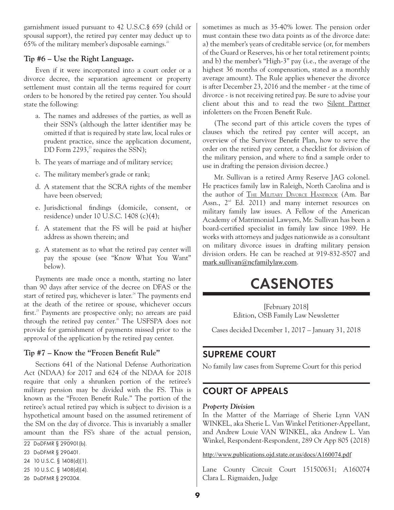garnishment issued pursuant to 42 U.S.C.§ 659 (child or spousal support), the retired pay center may deduct up to 65% of the military member's disposable earnings.<sup>22</sup>

# **Tip #6 – Use the Right Language.**

Even if it were incorporated into a court order or a divorce decree, the separation agreement or property settlement must contain all the terms required for court orders to be honored by the retired pay center. You should state the following:

- a. The names and addresses of the parties, as well as their SSN's (although the latter identifier may be omitted if that is required by state law, local rules or prudent practice, since the application document, DD Form  $2293$ ,<sup>23</sup> requires the SSN);
- b. The years of marriage and of military service;
- c. The military member's grade or rank;
- d. A statement that the SCRA rights of the member have been observed;
- e. Jurisdictional findings (domicile, consent, or residence) under 10 U.S.C. 1408 (c)(4);
- f. A statement that the FS will be paid at his/her address as shown therein; and
- g. A statement as to what the retired pay center will pay the spouse (see "Know What You Want" below).

Payments are made once a month, starting no later than 90 days after service of the decree on DFAS or the start of retired pay, whichever is later.<sup>24</sup> The payments end at the death of the retiree or spouse, whichever occurs first.<sup>25</sup> Payments are prospective only; no arrears are paid through the retired pay center.<sup>26</sup> The USFSPA does not provide for garnishment of payments missed prior to the approval of the application by the retired pay center.

# **Tip #7 – Know the "Frozen Benefit Rule"**

Sections 641 of the National Defense Authorization Act (NDAA) for 2017 and 624 of the NDAA for 2018 require that only a shrunken portion of the retiree's military pension may be divided with the FS. This is known as the "Frozen Benefit Rule." The portion of the retiree's actual retired pay which is subject to division is a hypothetical amount based on the assumed retirement of the SM on the day of divorce. This is invariably a smaller amount than the FS's share of the actual pension,

- 24 10 U.S.C. § 1408(d)(1).
- 25 10 U.S.C. § 1408(d)(4).
- 26 DoDFMR § 290304.

sometimes as much as 35-40% lower. The pension order must contain these two data points as of the divorce date: a) the member's years of creditable service (or, for members of the Guard or Reserves, his or her total retirement points; and b) the member's "High-3" pay (i.e., the average of the highest 36 months of compensation, stated as a monthly average amount). The Rule applies whenever the divorce is after December 23, 2016 and the member - at the time of divorce - is not receiving retired pay. Be sure to advise your client about this and to read the two Silent Partner infoletters on the Frozen Benefit Rule.

(The second part of this article covers the types of clauses which the retired pay center will accept, an overview of the Survivor Benefit Plan, how to serve the order on the retired pay center, a checklist for division of the military pension, and where to find a sample order to use in drafting the pension division decree.)

Mr. Sullivan is a retired Army Reserve JAG colonel. He practices family law in Raleigh, North Carolina and is the author of The Military Divorce Handbook (Am. Bar Assn.,  $2<sup>nd</sup>$  Ed. 2011) and many internet resources on military family law issues. A Fellow of the American Academy of Matrimonial Lawyers, Mr. Sullivan has been a board-certified specialist in family law since 1989. He works with attorneys and judges nationwide as a consultant on military divorce issues in drafting military pension division orders. He can be reached at 919-832-8507 and [mark.sullivan@ncfamilylaw.com](mailto:mark.sullivan@ncfamilylaw.com).

# **CASENOTES**

[February 2018] Edition, OSB Family Law Newsletter

Cases decided December 1, 2017 – January 31, 2018

# **SUPREME COURT**

No family law cases from Supreme Court for this period

# **COURT OF APPEALS**

#### *Property Division*

In the Matter of the Marriage of Sherie Lynn VAN WINKEL, aka Sherie L. Van Winkel Petitioner-Appellant, and Andrew Louie VAN WINKEL, aka Andrew L. Van Winkel, Respondent-Respondent, 289 Or App 805 (2018)

<http://www.publications.ojd.state.or.us/docs/A160074.pdf>

Lane County Circuit Court 151500631; A160074 Clara L. Rigmaiden, Judge

<sup>22</sup> DoDFMR § 290901(b).

<sup>23</sup> DoDFMR § 290401.